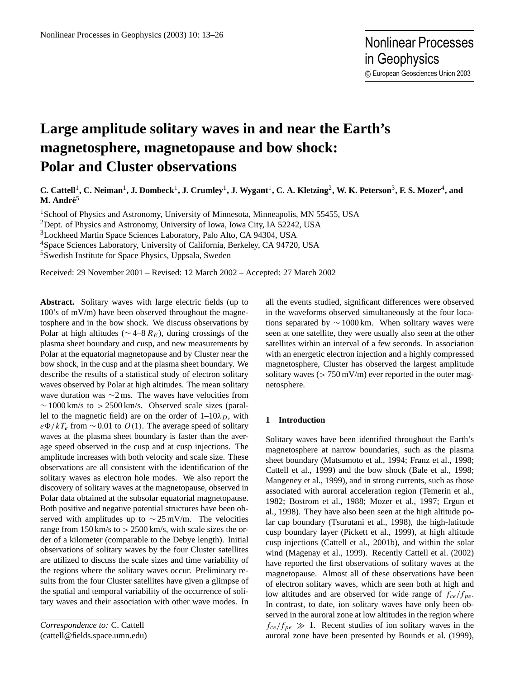# **Large amplitude solitary waves in and near the Earth's magnetosphere, magnetopause and bow shock: Polar and Cluster observations**

C. Cattell<sup>1</sup>, C. Neiman<sup>1</sup>, J. Dombeck<sup>1</sup>, J. Crumley<sup>1</sup>, J. Wygant<sup>1</sup>, C. A. Kletzing<sup>2</sup>, W. K. Peterson<sup>3</sup>, F. S. Mozer<sup>4</sup>, and **M. Andre´** 5

<sup>1</sup>School of Physics and Astronomy, University of Minnesota, Minneapolis, MN 55455, USA

<sup>2</sup>Dept. of Physics and Astronomy, University of Iowa, Iowa City, IA 52242, USA

<sup>3</sup>Lockheed Martin Space Sciences Laboratory, Palo Alto, CA 94304, USA

<sup>4</sup>Space Sciences Laboratory, University of California, Berkeley, CA 94720, USA

<sup>5</sup>Swedish Institute for Space Physics, Uppsala, Sweden

Received: 29 November 2001 – Revised: 12 March 2002 – Accepted: 27 March 2002

**Abstract.** Solitary waves with large electric fields (up to 100's of mV/m) have been observed throughout the magnetosphere and in the bow shock. We discuss observations by Polar at high altitudes ( $\sim$  4–8  $R_E$ ), during crossings of the plasma sheet boundary and cusp, and new measurements by Polar at the equatorial magnetopause and by Cluster near the bow shock, in the cusp and at the plasma sheet boundary. We describe the results of a statistical study of electron solitary waves observed by Polar at high altitudes. The mean solitary wave duration was ∼2 ms. The waves have velocities from  $\sim$  1000 km/s to > 2500 km/s. Observed scale sizes (parallel to the magnetic field) are on the order of  $1-10\lambda_D$ , with  $e\Phi/kT_e$  from ~ 0.01 to  $O(1)$ . The average speed of solitary waves at the plasma sheet boundary is faster than the average speed observed in the cusp and at cusp injections. The amplitude increases with both velocity and scale size. These observations are all consistent with the identification of the solitary waves as electron hole modes. We also report the discovery of solitary waves at the magnetopause, observed in Polar data obtained at the subsolar equatorial magnetopause. Both positive and negative potential structures have been observed with amplitudes up to  $\sim$  25 mV/m. The velocities range from  $150 \text{ km/s}$  to  $> 2500 \text{ km/s}$ , with scale sizes the order of a kilometer (comparable to the Debye length). Initial observations of solitary waves by the four Cluster satellites are utilized to discuss the scale sizes and time variability of the regions where the solitary waves occur. Preliminary results from the four Cluster satellites have given a glimpse of the spatial and temporal variability of the occurrence of solitary waves and their association with other wave modes. In

*Correspondence to:* C. Cattell (cattell@fields.space.umn.edu) all the events studied, significant differences were observed in the waveforms observed simultaneously at the four locations separated by  $\sim 1000 \text{ km}$ . When solitary waves were seen at one satellite, they were usually also seen at the other satellites within an interval of a few seconds. In association with an energetic electron injection and a highly compressed magnetosphere, Cluster has observed the largest amplitude solitary waves ( $> 750 \,\mathrm{mV/m}$ ) ever reported in the outer magnetosphere.

### **1 Introduction**

Solitary waves have been identified throughout the Earth's magnetosphere at narrow boundaries, such as the plasma sheet boundary (Matsumoto et al., 1994; Franz et al., 1998; Cattell et al., 1999) and the bow shock (Bale et al., 1998; Mangeney et al., 1999), and in strong currents, such as those associated with auroral acceleration region (Temerin et al., 1982; Bostrom et al., 1988; Mozer et al., 1997; Ergun et al., 1998). They have also been seen at the high altitude polar cap boundary (Tsurutani et al., 1998), the high-latitude cusp boundary layer (Pickett et al., 1999), at high altitude cusp injections (Cattell et al., 2001b), and within the solar wind (Magenay et al., 1999). Recently Cattell et al. (2002) have reported the first observations of solitary waves at the magnetopause. Almost all of these observations have been of electron solitary waves, which are seen both at high and low altitudes and are observed for wide range of  $f_{ce}/f_{pe}$ . In contrast, to date, ion solitary waves have only been observed in the auroral zone at low altitudes in the region where  $f_{ce}/f_{pe} \gg 1$ . Recent studies of ion solitary waves in the auroral zone have been presented by Bounds et al. (1999),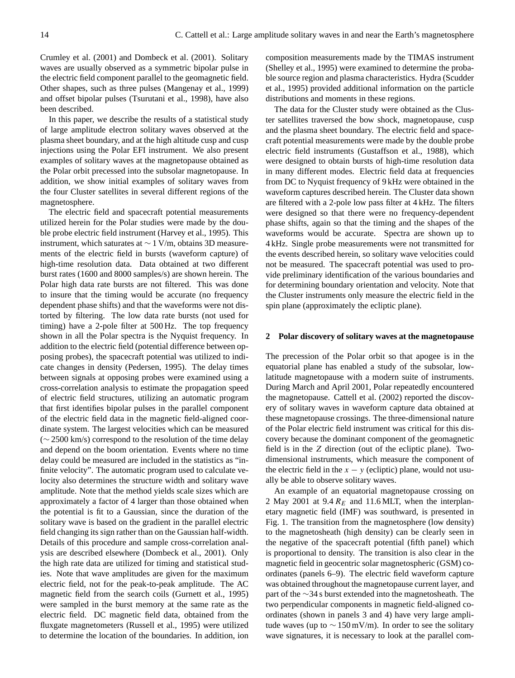Crumley et al. (2001) and Dombeck et al. (2001). Solitary waves are usually observed as a symmetric bipolar pulse in the electric field component parallel to the geomagnetic field. Other shapes, such as three pulses (Mangenay et al., 1999) and offset bipolar pulses (Tsurutani et al., 1998), have also been described.

In this paper, we describe the results of a statistical study of large amplitude electron solitary waves observed at the plasma sheet boundary, and at the high altitude cusp and cusp injections using the Polar EFI instrument. We also present examples of solitary waves at the magnetopause obtained as the Polar orbit precessed into the subsolar magnetopause. In addition, we show initial examples of solitary waves from the four Cluster satellites in several different regions of the magnetosphere.

The electric field and spacecraft potential measurements utilized herein for the Polar studies were made by the double probe electric field instrument (Harvey et al., 1995). This instrument, which saturates at ∼ 1 V/m, obtains 3D measurements of the electric field in bursts (waveform capture) of high-time resolution data. Data obtained at two different burst rates (1600 and 8000 samples/s) are shown herein. The Polar high data rate bursts are not filtered. This was done to insure that the timing would be accurate (no frequency dependent phase shifts) and that the waveforms were not distorted by filtering. The low data rate bursts (not used for timing) have a 2-pole filter at 500 Hz. The top frequency shown in all the Polar spectra is the Nyquist frequency. In addition to the electric field (potential difference between opposing probes), the spacecraft potential was utilized to indicate changes in density (Pedersen, 1995). The delay times between signals at opposing probes were examined using a cross-correlation analysis to estimate the propagation speed of electric field structures, utilizing an automatic program that first identifies bipolar pulses in the parallel component of the electric field data in the magnetic field-aligned coordinate system. The largest velocities which can be measured  $(\sim 2500 \text{ km/s})$  correspond to the resolution of the time delay and depend on the boom orientation. Events where no time delay could be measured are included in the statistics as "infinite velocity". The automatic program used to calculate velocity also determines the structure width and solitary wave amplitude. Note that the method yields scale sizes which are approximately a factor of 4 larger than those obtained when the potential is fit to a Gaussian, since the duration of the solitary wave is based on the gradient in the parallel electric field changing its sign rather than on the Gaussian half-width. Details of this procedure and sample cross-correlation analysis are described elsewhere (Dombeck et al., 2001). Only the high rate data are utilized for timing and statistical studies. Note that wave amplitudes are given for the maximum electric field, not for the peak-to-peak amplitude. The AC magnetic field from the search coils (Gurnett et al., 1995) were sampled in the burst memory at the same rate as the electric field. DC magnetic field data, obtained from the fluxgate magnetometers (Russell et al., 1995) were utilized to determine the location of the boundaries. In addition, ion

composition measurements made by the TIMAS instrument (Shelley et al., 1995) were examined to determine the probable source region and plasma characteristics. Hydra (Scudder et al., 1995) provided additional information on the particle distributions and moments in these regions.

The data for the Cluster study were obtained as the Cluster satellites traversed the bow shock, magnetopause, cusp and the plasma sheet boundary. The electric field and spacecraft potential measurements were made by the double probe electric field instruments (Gustaffson et al., 1988), which were designed to obtain bursts of high-time resolution data in many different modes. Electric field data at frequencies from DC to Nyquist frequency of 9 kHz were obtained in the waveform captures described herein. The Cluster data shown are filtered with a 2-pole low pass filter at 4 kHz. The filters were designed so that there were no frequency-dependent phase shifts, again so that the timing and the shapes of the waveforms would be accurate. Spectra are shown up to 4 kHz. Single probe measurements were not transmitted for the events described herein, so solitary wave velocities could not be measured. The spacecraft potential was used to provide preliminary identification of the various boundaries and for determining boundary orientation and velocity. Note that the Cluster instruments only measure the electric field in the spin plane (approximately the ecliptic plane).

#### **2 Polar discovery of solitary waves at the magnetopause**

The precession of the Polar orbit so that apogee is in the equatorial plane has enabled a study of the subsolar, lowlatitude magnetopause with a modern suite of instruments. During March and April 2001, Polar repeatedly encountered the magnetopause. Cattell et al. (2002) reported the discovery of solitary waves in waveform capture data obtained at these magnetopause crossings. The three-dimensional nature of the Polar electric field instrument was critical for this discovery because the dominant component of the geomagnetic field is in the Z direction (out of the ecliptic plane). Twodimensional instruments, which measure the component of the electric field in the  $x - y$  (ecliptic) plane, would not usually be able to observe solitary waves.

An example of an equatorial magnetopause crossing on 2 May 2001 at 9.4  $R_E$  and 11.6 MLT, when the interplanetary magnetic field (IMF) was southward, is presented in Fig. 1. The transition from the magnetosphere (low density) to the magnetosheath (high density) can be clearly seen in the negative of the spacecraft potential (fifth panel) which is proportional to density. The transition is also clear in the magnetic field in geocentric solar magnetospheric (GSM) coordinates (panels 6–9). The electric field waveform capture was obtained throughout the magnetopause current layer, and part of the ∼34 s burst extended into the magnetosheath. The two perpendicular components in magnetic field-aligned coordinates (shown in panels 3 and 4) have very large amplitude waves (up to  $\sim 150 \,\text{mV/m}$ ). In order to see the solitary wave signatures, it is necessary to look at the parallel com-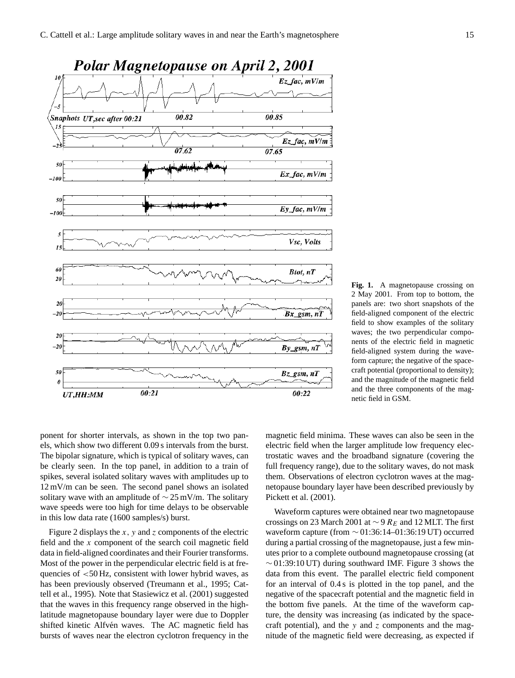

**Fig. 1.** A magnetopause crossing on 2 May 2001. From top to bottom, the panels are: two short snapshots of the field-aligned component of the electric field to show examples of the solitary waves; the two perpendicular components of the electric field in magnetic field-aligned system during the waveform capture; the negative of the spacecraft potential (proportional to density); and the magnitude of the magnetic field and the three components of the magnetic field in GSM.

ponent for shorter intervals, as shown in the top two panels, which show two different 0.09 s intervals from the burst. The bipolar signature, which is typical of solitary waves, can be clearly seen. In the top panel, in addition to a train of spikes, several isolated solitary waves with amplitudes up to 12 mV/m can be seen. The second panel shows an isolated solitary wave with an amplitude of  $\sim$  25 mV/m. The solitary wave speeds were too high for time delays to be observable in this low data rate (1600 samples/s) burst.

Figure 2 displays the  $x$ ,  $y$  and  $z$  components of the electric field and the x component of the search coil magnetic field data in field-aligned coordinates and their Fourier transforms. Most of the power in the perpendicular electric field is at frequencies of  $<$ 50 Hz, consistent with lower hybrid waves, as has been previously observed (Treumann et al., 1995; Cattell et al., 1995). Note that Stasiewicz et al. (2001) suggested that the waves in this frequency range observed in the highlatitude magnetopause boundary layer were due to Doppler shifted kinetic Alfvén waves. The AC magnetic field has bursts of waves near the electron cyclotron frequency in the magnetic field minima. These waves can also be seen in the electric field when the larger amplitude low frequency electrostatic waves and the broadband signature (covering the full frequency range), due to the solitary waves, do not mask them. Observations of electron cyclotron waves at the magnetopause boundary layer have been described previously by Pickett et al. (2001).

Waveform captures were obtained near two magnetopause crossings on 23 March 2001 at  $\sim$  9  $R_E$  and 12 MLT. The first waveform capture (from ∼ 01:36:14–01:36:19 UT) occurred during a partial crossing of the magnetopause, just a few minutes prior to a complete outbound magnetopause crossing (at  $\sim$  01:39:10 UT) during southward IMF. Figure 3 shows the data from this event. The parallel electric field component for an interval of 0.4 s is plotted in the top panel, and the negative of the spacecraft potential and the magnetic field in the bottom five panels. At the time of the waveform capture, the density was increasing (as indicated by the spacecraft potential), and the  $y$  and  $z$  components and the magnitude of the magnetic field were decreasing, as expected if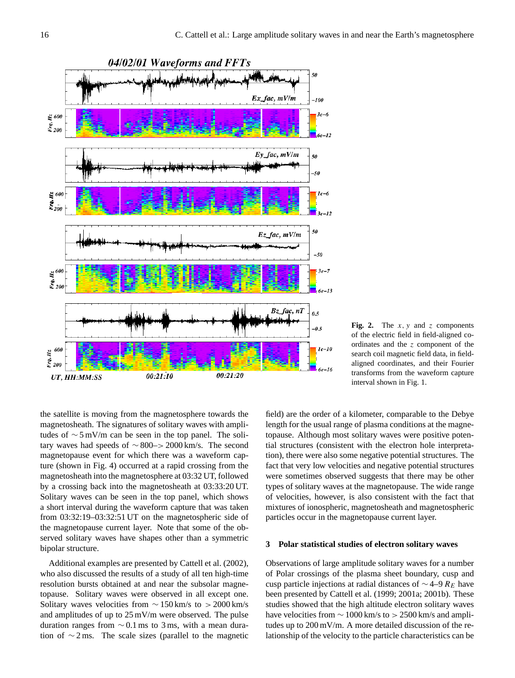

**Fig. 2.** The  $x$ ,  $y$  and  $z$  components of the electric field in field-aligned coordinates and the z component of the search coil magnetic field data, in fieldaligned coordinates, and their Fourier transforms from the waveform capture interval shown in Fig. 1.

the satellite is moving from the magnetosphere towards the magnetosheath. The signatures of solitary waves with amplitudes of ∼ 5 mV/m can be seen in the top panel. The solitary waves had speeds of  $\sim$  800–> 2000 km/s. The second magnetopause event for which there was a waveform capture (shown in Fig. 4) occurred at a rapid crossing from the magnetosheath into the magnetosphere at 03:32 UT, followed by a crossing back into the magnetosheath at 03:33:20 UT. Solitary waves can be seen in the top panel, which shows a short interval during the waveform capture that was taken from 03:32:19–03:32:51 UT on the magnetospheric side of the magnetopause current layer. Note that some of the observed solitary waves have shapes other than a symmetric bipolar structure.

Additional examples are presented by Cattell et al. (2002), who also discussed the results of a study of all ten high-time resolution bursts obtained at and near the subsolar magnetopause. Solitary waves were observed in all except one. Solitary waves velocities from  $\sim 150 \text{ km/s}$  to  $> 2000 \text{ km/s}$ and amplitudes of up to 25 mV/m were observed. The pulse duration ranges from  $\sim$  0.1 ms to 3 ms, with a mean duration of ∼ 2 ms. The scale sizes (parallel to the magnetic

field) are the order of a kilometer, comparable to the Debye length for the usual range of plasma conditions at the magnetopause. Although most solitary waves were positive potential structures (consistent with the electron hole interpretation), there were also some negative potential structures. The fact that very low velocities and negative potential structures were sometimes observed suggests that there may be other types of solitary waves at the magnetopause. The wide range of velocities, however, is also consistent with the fact that mixtures of ionospheric, magnetosheath and magnetospheric particles occur in the magnetopause current layer.

#### **3 Polar statistical studies of electron solitary waves**

Observations of large amplitude solitary waves for a number of Polar crossings of the plasma sheet boundary, cusp and cusp particle injections at radial distances of  $\sim$  4–9  $R_E$  have been presented by Cattell et al. (1999; 2001a; 2001b). These studies showed that the high altitude electron solitary waves have velocities from  $\sim 1000$  km/s to  $> 2500$  km/s and amplitudes up to 200 mV/m. A more detailed discussion of the relationship of the velocity to the particle characteristics can be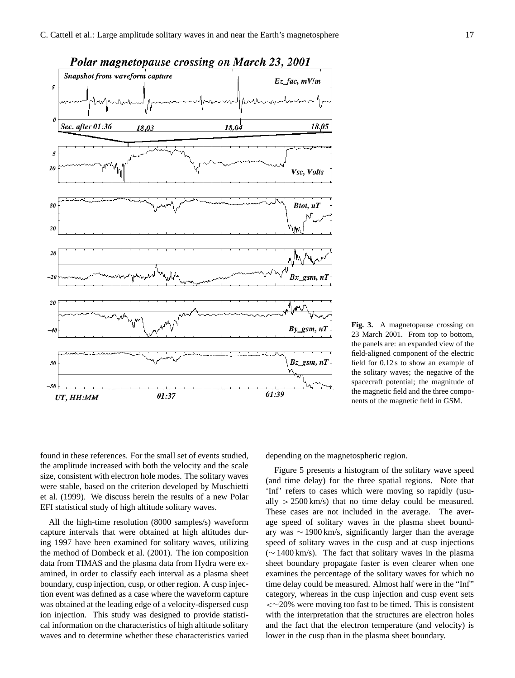



**Fig. 3.** A magnetopause crossing on 23 March 2001. From top to bottom, the panels are: an expanded view of the field-aligned component of the electric field for 0.12 s to show an example of the solitary waves; the negative of the spacecraft potential; the magnitude of the magnetic field and the three components of the magnetic field in GSM.

found in these references. For the small set of events studied, the amplitude increased with both the velocity and the scale size, consistent with electron hole modes. The solitary waves were stable, based on the criterion developed by Muschietti et al. (1999). We discuss herein the results of a new Polar EFI statistical study of high altitude solitary waves.

All the high-time resolution (8000 samples/s) waveform capture intervals that were obtained at high altitudes during 1997 have been examined for solitary waves, utilizing the method of Dombeck et al. (2001). The ion composition data from TIMAS and the plasma data from Hydra were examined, in order to classify each interval as a plasma sheet boundary, cusp injection, cusp, or other region. A cusp injection event was defined as a case where the waveform capture was obtained at the leading edge of a velocity-dispersed cusp ion injection. This study was designed to provide statistical information on the characteristics of high altitude solitary waves and to determine whether these characteristics varied depending on the magnetospheric region.

Figure 5 presents a histogram of the solitary wave speed (and time delay) for the three spatial regions. Note that 'Inf' refers to cases which were moving so rapidly (usually  $> 2500 \text{ km/s}$  that no time delay could be measured. These cases are not included in the average. The average speed of solitary waves in the plasma sheet boundary was ∼ 1900 km/s, significantly larger than the average speed of solitary waves in the cusp and at cusp injections (∼ 1400 km/s). The fact that solitary waves in the plasma sheet boundary propagate faster is even clearer when one examines the percentage of the solitary waves for which no time delay could be measured. Almost half were in the "Inf" category, whereas in the cusp injection and cusp event sets <∼20% were moving too fast to be timed. This is consistent with the interpretation that the structures are electron holes and the fact that the electron temperature (and velocity) is lower in the cusp than in the plasma sheet boundary.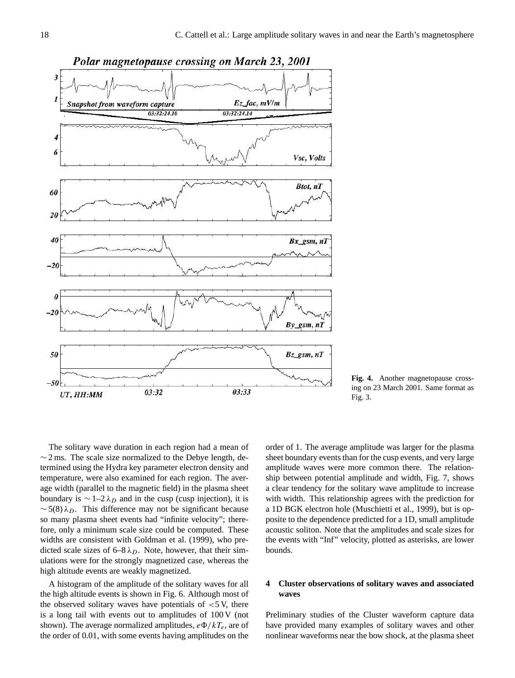

**Fig. 4.** Another magnetopause crossing on 23 March 2001. Same format as Fig. 3.

The solitary wave duration in each region had a mean of  $\sim$  2 ms. The scale size normalized to the Debye length, determined using the Hydra key parameter electron density and temperature, were also examined for each region. The average width (parallel to the magnetic field) in the plasma sheet boundary is  $\sim$  1–2  $\lambda_D$  and in the cusp (cusp injection), it is  $\sim$  5(8)  $\lambda_D$ . This difference may not be significant because so many plasma sheet events had "infinite velocity"; therefore, only a minimum scale size could be computed. These widths are consistent with Goldman et al. (1999), who predicted scale sizes of 6–8  $\lambda_D$ . Note, however, that their simulations were for the strongly magnetized case, whereas the high altitude events are weakly magnetized.

A histogram of the amplitude of the solitary waves for all the high altitude events is shown in Fig. 6. Although most of the observed solitary waves have potentials of  $\lt$ 5 V, there is a long tail with events out to amplitudes of 100 V (not shown). The average normalized amplitudes,  $e\Phi/kT_e$ , are of the order of 0.01, with some events having amplitudes on the

order of 1. The average amplitude was larger for the plasma sheet boundary events than for the cusp events, and very large amplitude waves were more common there. The relationship between potential amplitude and width, Fig. 7, shows a clear tendency for the solitary wave amplitude to increase with width. This relationship agrees with the prediction for a 1D BGK electron hole (Muschietti et al., 1999), but is opposite to the dependence predicted for a 1D, small amplitude acoustic soliton. Note that the amplitudes and scale sizes for the events with "Inf" velocity, plotted as asterisks, are lower bounds.

## **4 Cluster observations of solitary waves and associated waves**

Preliminary studies of the Cluster waveform capture data have provided many examples of solitary waves and other nonlinear waveforms near the bow shock, at the plasma sheet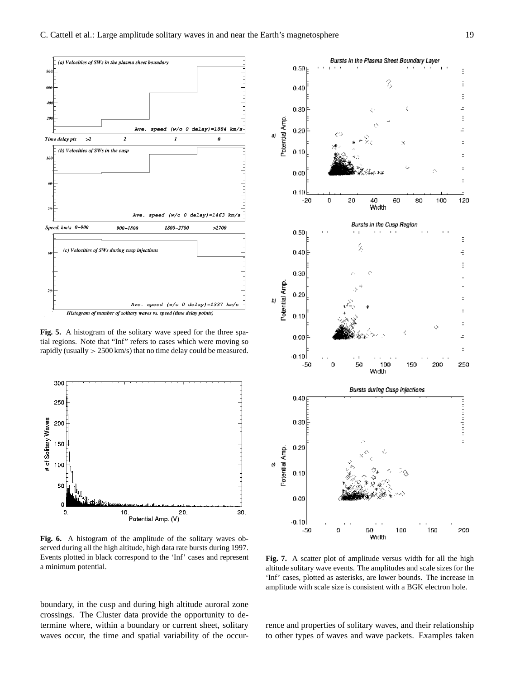

**Fig. 5.** A histogram of the solitary wave speed for the three spatial regions. Note that "Inf" refers to cases which were moving so rapidly (usually > 2500 km/s) that no time delay could be measured.



**Fig. 6.** A histogram of the amplitude of the solitary waves observed during all the high altitude, high data rate bursts during 1997. Events plotted in black correspond to the 'Inf' cases and represent a minimum potential.

boundary, in the cusp and during high altitude auroral zone crossings. The Cluster data provide the opportunity to determine where, within a boundary or current sheet, solitary waves occur, the time and spatial variability of the occur-



**Fig. 7.** A scatter plot of amplitude versus width for all the high altitude solitary wave events. The amplitudes and scale sizes for the 'Inf' cases, plotted as asterisks, are lower bounds. The increase in amplitude with scale size is consistent with a BGK electron hole.

rence and properties of solitary waves, and their relationship to other types of waves and wave packets. Examples taken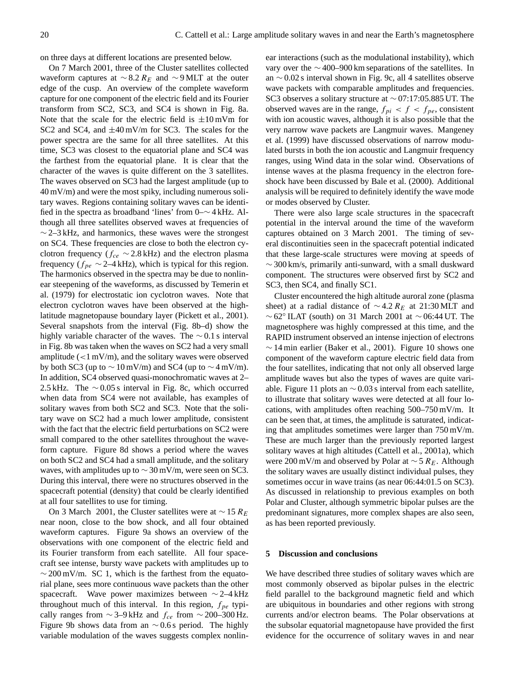on three days at different locations are presented below.

On 7 March 2001, three of the Cluster satellites collected waveform captures at  $\sim$  8.2 R<sub>E</sub> and  $\sim$  9 MLT at the outer edge of the cusp. An overview of the complete waveform capture for one component of the electric field and its Fourier transform from SC2, SC3, and SC4 is shown in Fig. 8a. Note that the scale for the electric field is  $\pm 10$  mVm for SC2 and SC4, and  $\pm 40$  mV/m for SC3. The scales for the power spectra are the same for all three satellites. At this time, SC3 was closest to the equatorial plane and SC4 was the farthest from the equatorial plane. It is clear that the character of the waves is quite different on the 3 satellites. The waves observed on SC3 had the largest amplitude (up to  $40 \,\mathrm{mV/m}$ ) and were the most spiky, including numerous solitary waves. Regions containing solitary waves can be identified in the spectra as broadband 'lines' from 0–∼ 4 kHz. Although all three satellites observed waves at frequencies of  $\sim$  2–3 kHz, and harmonics, these waves were the strongest on SC4. These frequencies are close to both the electron cyclotron frequency ( $f_{ce} \sim 2.8$  kHz) and the electron plasma frequency ( $f_{pe} \sim 2-4$  kHz), which is typical for this region. The harmonics observed in the spectra may be due to nonlinear steepening of the waveforms, as discussed by Temerin et al. (1979) for electrostatic ion cyclotron waves. Note that electron cyclotron waves have been observed at the highlatitude magnetopause boundary layer (Pickett et al., 2001). Several snapshots from the interval (Fig. 8b–d) show the highly variable character of the waves. The ∼ 0.1 s interval in Fig. 8b was taken when the waves on SC2 had a very small amplitude  $\left($  < 1 mV/m), and the solitary waves were observed by both SC3 (up to  $\sim$  10 mV/m) and SC4 (up to  $\sim$  4 mV/m). In addition, SC4 observed quasi-monochromatic waves at 2– 2.5 kHz. The  $\sim 0.05$  s interval in Fig. 8c, which occurred when data from SC4 were not available, has examples of solitary waves from both SC2 and SC3. Note that the solitary wave on SC2 had a much lower amplitude, consistent with the fact that the electric field perturbations on SC2 were small compared to the other satellites throughout the waveform capture. Figure 8d shows a period where the waves on both SC2 and SC4 had a small amplitude, and the solitary waves, with amplitudes up to  $\sim$  30 mV/m, were seen on SC3. During this interval, there were no structures observed in the spacecraft potential (density) that could be clearly identified at all four satellites to use for timing.

On 3 March 2001, the Cluster satellites were at  $\sim$  15  $R_E$ near noon, close to the bow shock, and all four obtained waveform captures. Figure 9a shows an overview of the observations with one component of the electric field and its Fourier transform from each satellite. All four spacecraft see intense, bursty wave packets with amplitudes up to  $\sim$  200 mV/m. SC 1, which is the farthest from the equatorial plane, sees more continuous wave packets than the other spacecraft. Wave power maximizes between  $\sim$  2–4 kHz throughout much of this interval. In this region,  $f_{pe}$  typically ranges from  $\sim$  3–9 kHz and  $f_{ce}$  from  $\sim$  200–300 Hz. Figure 9b shows data from an  $\sim$  0.6 s period. The highly variable modulation of the waves suggests complex nonlinear interactions (such as the modulational instability), which vary over the  $\sim$  400–900 km separations of the satellites. In an ∼ 0.02 s interval shown in Fig. 9c, all 4 satellites observe wave packets with comparable amplitudes and frequencies. SC3 observes a solitary structure at ∼ 07:17:05.885 UT. The observed waves are in the range,  $f_{pi} < f < f_{pe}$ , consistent with ion acoustic waves, although it is also possible that the very narrow wave packets are Langmuir waves. Mangeney et al. (1999) have discussed observations of narrow modulated bursts in both the ion acoustic and Langmuir frequency ranges, using Wind data in the solar wind. Observations of intense waves at the plasma frequency in the electron foreshock have been discussed by Bale et al. (2000). Additional analysis will be required to definitely identify the wave mode or modes observed by Cluster.

There were also large scale structures in the spacecraft potential in the interval around the time of the waveform captures obtained on 3 March 2001. The timing of several discontinuities seen in the spacecraft potential indicated that these large-scale structures were moving at speeds of ∼ 300 km/s, primarily anti-sunward, with a small duskward component. The structures were observed first by SC2 and SC3, then SC4, and finally SC1.

Cluster encountered the high altitude auroral zone (plasma sheet) at a radial distance of  $\sim$  4.2 R<sub>E</sub> at 21:30 MLT and  $~\sim$  62° ILAT (south) on 31 March 2001 at  $~\sim$  06:44 UT. The magnetosphere was highly compressed at this time, and the RAPID instrument observed an intense injection of electrons  $\sim$  14 min earlier (Baker et al., 2001). Figure 10 shows one component of the waveform capture electric field data from the four satellites, indicating that not only all observed large amplitude waves but also the types of waves are quite variable. Figure 11 plots an  $\sim$  0.03 s interval from each satellite, to illustrate that solitary waves were detected at all four locations, with amplitudes often reaching 500–750 mV/m. It can be seen that, at times, the amplitude is saturated, indicating that amplitudes sometimes were larger than 750 mV/m. These are much larger than the previously reported largest solitary waves at high altitudes (Cattell et al., 2001a), which were 200 mV/m and observed by Polar at  $\sim$  5  $R_E$ . Although the solitary waves are usually distinct individual pulses, they sometimes occur in wave trains (as near 06:44:01.5 on SC3). As discussed in relationship to previous examples on both Polar and Cluster, although symmetric bipolar pulses are the predominant signatures, more complex shapes are also seen, as has been reported previously.

#### **5 Discussion and conclusions**

We have described three studies of solitary waves which are most commonly observed as bipolar pulses in the electric field parallel to the background magnetic field and which are ubiquitous in boundaries and other regions with strong currents and/or electron beams. The Polar observations at the subsolar equatorial magnetopause have provided the first evidence for the occurrence of solitary waves in and near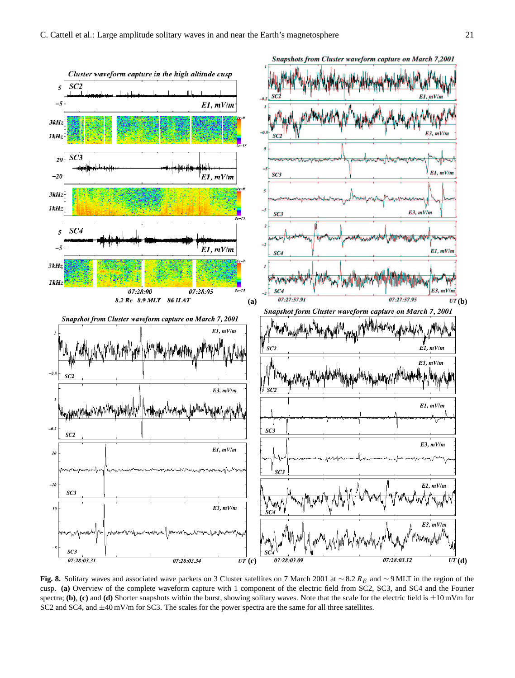

Fig. 8. Solitary waves and associated wave packets on 3 Cluster satellites on 7 March 2001 at ∼8.2 R<sub>E</sub> and ∼9 MLT in the region of the cusp. **(a)** Overview of the complete waveform capture with 1 component of the electric field from SC2, SC3, and SC4 and the Fourier spectra; **(b)**, **(c)** and **(d)** Shorter snapshots within the burst, showing solitary waves. Note that the scale for the electric field is  $\pm 10$  mVm for SC2 and SC4, and  $\pm 40$  mV/m for SC3. The scales for the power spectra are the same for all three satellites.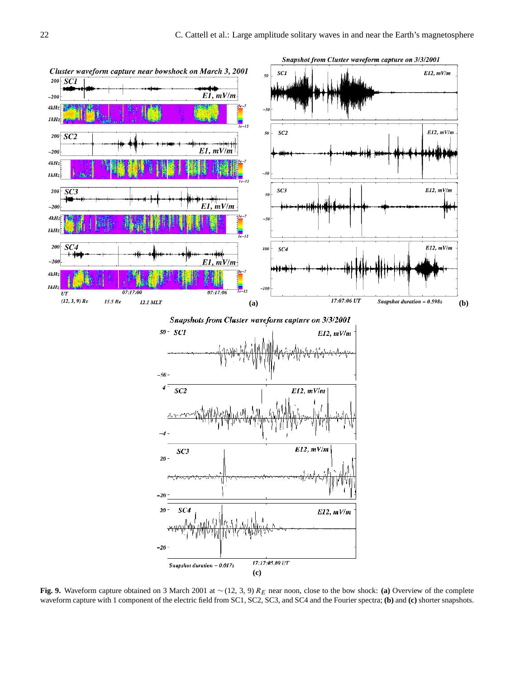

**Fig. 9.** Waveform capture obtained on 3 March 2001 at ∼ (12, 3, 9) R<sup>E</sup> near noon, close to the bow shock: **(a)** Overview of the complete waveform capture with 1 component of the electric field from SC1, SC2, SC3, and SC4 and the Fourier spectra; **(b)** and **(c)** shorter snapshots.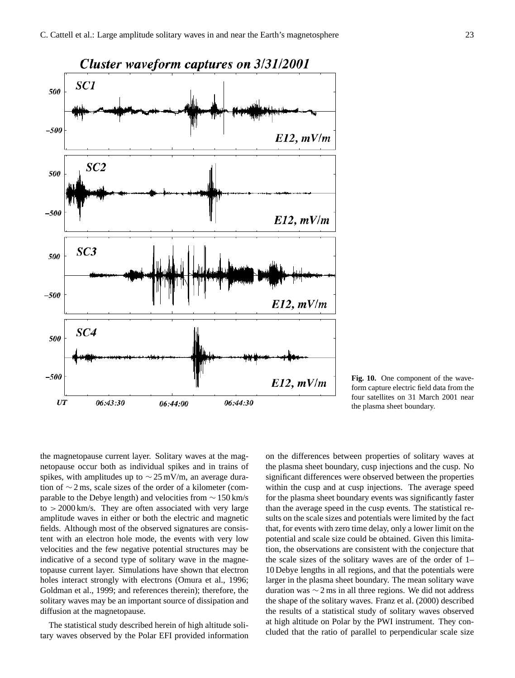

**Fig. 10.** One component of the waveform capture electric field data from the four satellites on 31 March 2001 near the plasma sheet boundary.

the magnetopause current layer. Solitary waves at the magnetopause occur both as individual spikes and in trains of spikes, with amplitudes up to ∼ 25 mV/m, an average duration of ∼ 2 ms, scale sizes of the order of a kilometer (comparable to the Debye length) and velocities from ∼ 150 km/s  $\tau$  to  $> 2000 \,\mathrm{km/s}$ . They are often associated with very large amplitude waves in either or both the electric and magnetic fields. Although most of the observed signatures are consistent with an electron hole mode, the events with very low velocities and the few negative potential structures may be indicative of a second type of solitary wave in the magnetopause current layer. Simulations have shown that electron holes interact strongly with electrons (Omura et al., 1996; Goldman et al., 1999; and references therein); therefore, the solitary waves may be an important source of dissipation and diffusion at the magnetopause.

The statistical study described herein of high altitude solitary waves observed by the Polar EFI provided information on the differences between properties of solitary waves at the plasma sheet boundary, cusp injections and the cusp. No significant differences were observed between the properties within the cusp and at cusp injections. The average speed for the plasma sheet boundary events was significantly faster than the average speed in the cusp events. The statistical results on the scale sizes and potentials were limited by the fact that, for events with zero time delay, only a lower limit on the potential and scale size could be obtained. Given this limitation, the observations are consistent with the conjecture that the scale sizes of the solitary waves are of the order of 1– 10 Debye lengths in all regions, and that the potentials were larger in the plasma sheet boundary. The mean solitary wave duration was ∼ 2 ms in all three regions. We did not address the shape of the solitary waves. Franz et al. (2000) described the results of a statistical study of solitary waves observed at high altitude on Polar by the PWI instrument. They concluded that the ratio of parallel to perpendicular scale size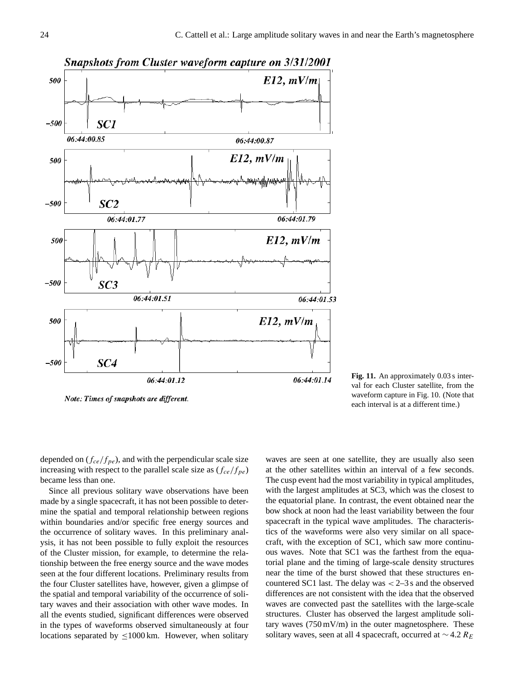

Note: Times of snapshots are different.

**Fig. 11.** An approximately 0.03 s interval for each Cluster satellite, from the waveform capture in Fig. 10. (Note that each interval is at a different time.)

depended on  $(f_{ce}/f_{pe})$ , and with the perpendicular scale size increasing with respect to the parallel scale size as  $(f_{ce}/f_{pe})$ became less than one.

Since all previous solitary wave observations have been made by a single spacecraft, it has not been possible to determine the spatial and temporal relationship between regions within boundaries and/or specific free energy sources and the occurrence of solitary waves. In this preliminary analysis, it has not been possible to fully exploit the resources of the Cluster mission, for example, to determine the relationship between the free energy source and the wave modes seen at the four different locations. Preliminary results from the four Cluster satellites have, however, given a glimpse of the spatial and temporal variability of the occurrence of solitary waves and their association with other wave modes. In all the events studied, significant differences were observed in the types of waveforms observed simultaneously at four locations separated by  $\leq 1000$  km. However, when solitary waves are seen at one satellite, they are usually also seen at the other satellites within an interval of a few seconds. The cusp event had the most variability in typical amplitudes, with the largest amplitudes at SC3, which was the closest to the equatorial plane. In contrast, the event obtained near the bow shock at noon had the least variability between the four spacecraft in the typical wave amplitudes. The characteristics of the waveforms were also very similar on all spacecraft, with the exception of SC1, which saw more continuous waves. Note that SC1 was the farthest from the equatorial plane and the timing of large-scale density structures near the time of the burst showed that these structures encountered SC1 last. The delay was  $< 2-3$  s and the observed differences are not consistent with the idea that the observed waves are convected past the satellites with the large-scale structures. Cluster has observed the largest amplitude solitary waves (750 mV/m) in the outer magnetosphere. These solitary waves, seen at all 4 spacecraft, occurred at  $\sim$  4.2  $R_E$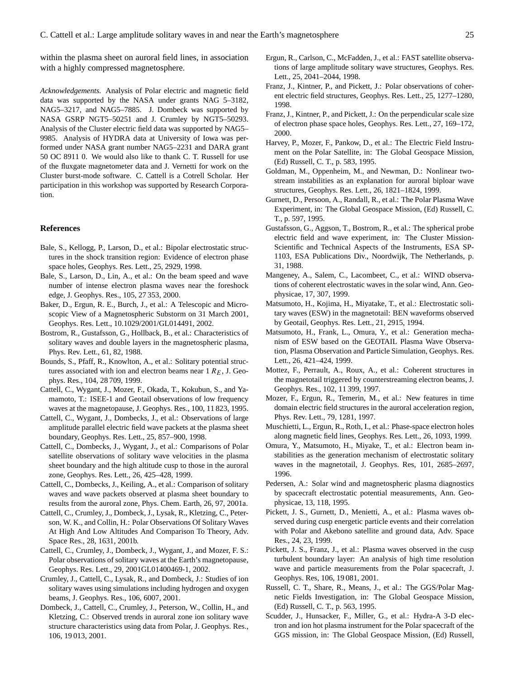within the plasma sheet on auroral field lines, in association with a highly compressed magnetosphere.

*Acknowledgements.* Analysis of Polar electric and magnetic field data was supported by the NASA under grants NAG 5–3182, NAG5–3217, and NAG5–7885. J. Dombeck was supported by NASA GSRP NGT5–50251 and J. Crumley by NGT5–50293. Analysis of the Cluster electric field data was supported by NAG5– 9985. Analysis of HYDRA data at University of Iowa was performed under NASA grant number NAG5–2231 and DARA grant 50 OC 8911 0. We would also like to thank C. T. Russell for use of the fluxgate magnetometer data and J. Vernetti for work on the Cluster burst-mode software. C. Cattell is a Cotrell Scholar. Her participation in this workshop was supported by Research Corporation.

#### **References**

- Bale, S., Kellogg, P., Larson, D., et al.: Bipolar electrostatic structures in the shock transition region: Evidence of electron phase space holes, Geophys. Res. Lett., 25, 2929, 1998.
- Bale, S., Larson, D., Lin, A., et al.: On the beam speed and wave number of intense electron plasma waves near the foreshock edge, J. Geophys. Res., 105, 27 353, 2000.
- Baker, D., Ergun, R. E., Burch, J., et al.: A Telescopic and Microscopic View of a Magnetospheric Substorm on 31 March 2001, Geophys. Res. Lett., 10.1029/2001/GL014491, 2002.
- Bostrom, R., Gustafsson, G., Hollback, B., et al.: Characteristics of solitary waves and double layers in the magnetospheric plasma, Phys. Rev. Lett., 61, 82, 1988.
- Bounds, S., Pfaff, R., Knowlton, A., et al.: Solitary potential structures associated with ion and electron beams near  $1 R<sub>E</sub>$ , J. Geophys. Res., 104, 28 709, 1999.
- Cattell, C., Wygant, J., Mozer, F., Okada, T., Kokubun, S., and Yamamoto, T.: ISEE-1 and Geotail observations of low frequency waves at the magnetopause, J. Geophys. Res., 100, 11 823, 1995.
- Cattell, C., Wygant, J., Dombecks, J., et al.: Observations of large amplitude parallel electric field wave packets at the plasma sheet boundary, Geophys. Res. Lett., 25, 857–900, 1998.
- Cattell, C., Dombecks, J., Wygant, J., et al.: Comparisons of Polar satellite observations of solitary wave velocities in the plasma sheet boundary and the high altitude cusp to those in the auroral zone, Geophys. Res. Lett., 26, 425–428, 1999.
- Cattell, C., Dombecks, J., Keiling, A., et al.: Comparison of solitary waves and wave packets observed at plasma sheet boundary to results from the auroral zone, Phys. Chem. Earth, 26, 97, 2001a.
- Cattell, C., Crumley, J., Dombeck, J., Lysak, R., Kletzing, C., Peterson, W. K., and Collin, H.: Polar Observations Of Solitary Waves At High And Low Altitudes And Comparison To Theory, Adv. Space Res., 28, 1631, 2001b.
- Cattell, C., Crumley, J., Dombeck, J., Wygant, J., and Mozer, F. S.: Polar observations of solitary waves at the Earth's magnetopause, Geophys. Res. Lett., 29, 2001GL01400469-1, 2002.
- Crumley, J., Cattell, C., Lysak, R., and Dombeck, J.: Studies of ion solitary waves using simulations including hydrogen and oxygen beams, J. Geophys. Res., 106, 6007, 2001.
- Dombeck, J., Cattell, C., Crumley, J., Peterson, W., Collin, H., and Kletzing, C.: Observed trends in auroral zone ion solitary wave structure characteristics using data from Polar, J. Geophys. Res., 106, 19 013, 2001.
- Ergun, R., Carlson, C., McFadden, J., et al.: FAST satellite observations of large amplitude solitary wave structures, Geophys. Res. Lett., 25, 2041–2044, 1998.
- Franz, J., Kintner, P., and Pickett, J.: Polar observations of coherent electric field structures, Geophys. Res. Lett., 25, 1277–1280, 1998.
- Franz, J., Kintner, P., and Pickett, J.: On the perpendicular scale size of electron phase space holes, Geophys. Res. Lett., 27, 169–172, 2000.
- Harvey, P., Mozer, F., Pankow, D., et al.: The Electric Field Instrument on the Polar Satellite, in: The Global Geospace Mission, (Ed) Russell, C. T., p. 583, 1995.
- Goldman, M., Oppenheim, M., and Newman, D.: Nonlinear twostream instabilities as an explanation for auroral biploar wave structures, Geophys. Res. Lett., 26, 1821–1824, 1999.
- Gurnett, D., Persoon, A., Randall, R., et al.: The Polar Plasma Wave Experiment, in: The Global Geospace Mission, (Ed) Russell, C. T., p. 597, 1995.
- Gustafsson, G., Aggson, T., Bostrom, R., et al.: The spherical probe electric field and wave experiment, in: The Cluster Mission-Scientific and Technical Aspects of the Instruments, ESA SP-1103, ESA Publications Div., Noordwijk, The Netherlands, p. 31, 1988.
- Mangeney, A., Salem, C., Lacombeet, C., et al.: WIND observations of coherent electrostatic waves in the solar wind, Ann. Geophysicae, 17, 307, 1999.
- Matsumoto, H., Kojima, H., Miyatake, T., et al.: Electrostatic solitary waves (ESW) in the magnetotail: BEN waveforms observed by Geotail, Geophys. Res. Lett., 21, 2915, 1994.
- Matsumoto, H., Frank, L., Omura, Y., et al.: Generation mechanism of ESW based on the GEOTAIL Plasma Wave Observation, Plasma Observation and Particle Simulation, Geophys. Res. Lett., 26, 421–424, 1999.
- Mottez, F., Perrault, A., Roux, A., et al.: Coherent structures in the magnetotail triggered by counterstreaming electron beams, J. Geophys. Res., 102, 11 399, 1997.
- Mozer, F., Ergun, R., Temerin, M., et al.: New features in time domain electric field structures in the auroral acceleration region, Phys. Rev. Lett., 79, 1281, 1997.
- Muschietti, L., Ergun, R., Roth, I., et al.: Phase-space electron holes along magnetic field lines, Geophys. Res. Lett., 26, 1093, 1999.
- Omura, Y., Matsumoto, H., Miyake, T., et al.: Electron beam instabilities as the generation mechanism of electrostatic solitary waves in the magnetotail, J. Geophys. Res, 101, 2685–2697, 1996.
- Pedersen, A.: Solar wind and magnetospheric plasma diagnostics by spacecraft electrostatic potential measurements, Ann. Geophysicae, 13, 118, 1995.
- Pickett, J. S., Gurnett, D., Menietti, A., et al.: Plasma waves observed during cusp energetic particle events and their correlation with Polar and Akebono satellite and ground data, Adv. Space Res., 24, 23, 1999.
- Pickett, J. S., Franz, J., et al.: Plasma waves observed in the cusp turbulent boundary layer: An analysis of high time resolution wave and particle measurements from the Polar spacecraft, J. Geophys. Res, 106, 19 081, 2001.
- Russell, C. T., Share, R., Means, J., et al.: The GGS/Polar Magnetic Fields Investigation, in: The Global Geospace Mission, (Ed) Russell, C. T., p. 563, 1995.
- Scudder, J., Hunsacker, F., Miller, G., et al.: Hydra-A 3-D electron and ion hot plasma instrument for the Polar spacecraft of the GGS mission, in: The Global Geospace Mission, (Ed) Russell,